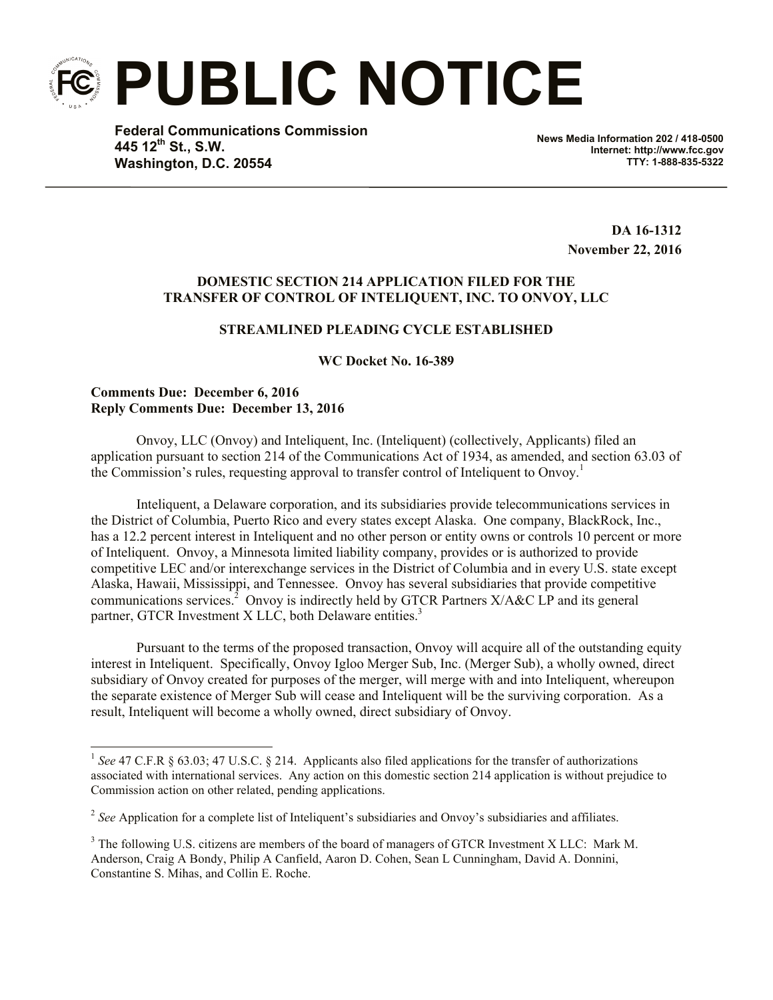**PUBLIC NOTICE**

**Federal Communications Commission 445 12th St., S.W. Washington, D.C. 20554**

**News Media Information 202 / 418-0500 Internet: http://www.fcc.gov TTY: 1-888-835-5322**

> **DA 16-1312 November 22, 2016**

## **DOMESTIC SECTION 214 APPLICATION FILED FOR THE TRANSFER OF CONTROL OF INTELIQUENT, INC. TO ONVOY, LLC**

# **STREAMLINED PLEADING CYCLE ESTABLISHED**

## **WC Docket No. 16-389**

### **Comments Due: December 6, 2016 Reply Comments Due: December 13, 2016**

 $\overline{a}$ 

Onvoy, LLC (Onvoy) and Inteliquent, Inc. (Inteliquent) (collectively, Applicants) filed an application pursuant to section 214 of the Communications Act of 1934, as amended, and section 63.03 of the Commission's rules, requesting approval to transfer control of Inteliquent to Onvoy. 1

Inteliquent, a Delaware corporation, and its subsidiaries provide telecommunications services in the District of Columbia, Puerto Rico and every states except Alaska. One company, BlackRock, Inc., has a 12.2 percent interest in Inteliquent and no other person or entity owns or controls 10 percent or more of Inteliquent. Onvoy, a Minnesota limited liability company, provides or is authorized to provide competitive LEC and/or interexchange services in the District of Columbia and in every U.S. state except Alaska, Hawaii, Mississippi, and Tennessee. Onvoy has several subsidiaries that provide competitive communications services.<sup>2</sup> Onvoy is indirectly held by GTCR Partners  $X/A\&C$  LP and its general partner, GTCR Investment X LLC, both Delaware entities.<sup>3</sup>

Pursuant to the terms of the proposed transaction, Onvoy will acquire all of the outstanding equity interest in Inteliquent. Specifically, Onvoy Igloo Merger Sub, Inc. (Merger Sub), a wholly owned, direct subsidiary of Onvoy created for purposes of the merger, will merge with and into Inteliquent, whereupon the separate existence of Merger Sub will cease and Inteliquent will be the surviving corporation. As a result, Inteliquent will become a wholly owned, direct subsidiary of Onvoy.

<sup>&</sup>lt;sup>1</sup> See 47 C.F.R § 63.03; 47 U.S.C. § 214. Applicants also filed applications for the transfer of authorizations associated with international services. Any action on this domestic section 214 application is without prejudice to Commission action on other related, pending applications.

<sup>&</sup>lt;sup>2</sup> See Application for a complete list of Inteliquent's subsidiaries and Onvoy's subsidiaries and affiliates.

<sup>&</sup>lt;sup>3</sup> The following U.S. citizens are members of the board of managers of GTCR Investment X LLC: Mark M. Anderson, Craig A Bondy, Philip A Canfield, Aaron D. Cohen, Sean L Cunningham, David A. Donnini, Constantine S. Mihas, and Collin E. Roche.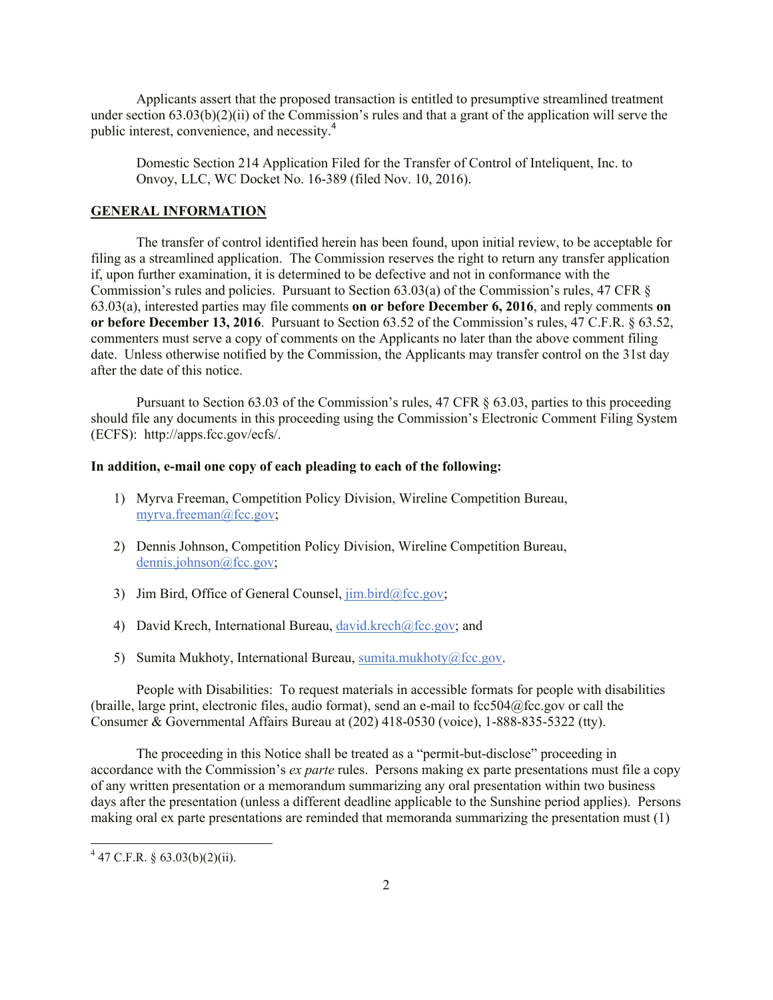Applicants assert that the proposed transaction is entitled to presumptive streamlined treatment under section 63.03(b)(2)(ii) of the Commission's rules and that a grant of the application will serve the public interest, convenience, and necessity. 4

Domestic Section 214 Application Filed for the Transfer of Control of Inteliquent, Inc. to Onvoy, LLC, WC Docket No. 16-389 (filed Nov. 10, 2016).

#### **GENERAL INFORMATION**

The transfer of control identified herein has been found, upon initial review, to be acceptable for filing as a streamlined application. The Commission reserves the right to return any transfer application if, upon further examination, it is determined to be defective and not in conformance with the Commission's rules and policies. Pursuant to Section 63.03(a) of the Commission's rules, 47 CFR § 63.03(a), interested parties may file comments **on or before December 6, 2016**, and reply comments **on or before December 13, 2016**. Pursuant to Section 63.52 of the Commission's rules, 47 C.F.R. § 63.52, commenters must serve a copy of comments on the Applicants no later than the above comment filing date. Unless otherwise notified by the Commission, the Applicants may transfer control on the 31st day after the date of this notice.

Pursuant to Section 63.03 of the Commission's rules, 47 CFR § 63.03, parties to this proceeding should file any documents in this proceeding using the Commission's Electronic Comment Filing System (ECFS): http://apps.fcc.gov/ecfs/.

#### **In addition, e-mail one copy of each pleading to each of the following:**

- 1) Myrva Freeman, Competition Policy Division, Wireline Competition Bureau, myrva.freeman@fcc.gov;
- 2) Dennis Johnson, Competition Policy Division, Wireline Competition Bureau, dennis.johnson@fcc.gov;
- 3) Jim Bird, Office of General Counsel,  $\lim_{\alpha \to 0}$  bird@fcc.gov;
- 4) David Krech, International Bureau, david.krech@fcc.gov; and
- 5) Sumita Mukhoty, International Bureau, sumita.mukhoty@fcc.gov.

People with Disabilities: To request materials in accessible formats for people with disabilities (braille, large print, electronic files, audio format), send an e-mail to fcc504@fcc.gov or call the Consumer & Governmental Affairs Bureau at (202) 418-0530 (voice), 1-888-835-5322 (tty).

The proceeding in this Notice shall be treated as a "permit-but-disclose" proceeding in accordance with the Commission's *ex parte* rules. Persons making ex parte presentations must file a copy of any written presentation or a memorandum summarizing any oral presentation within two business days after the presentation (unless a different deadline applicable to the Sunshine period applies). Persons making oral ex parte presentations are reminded that memoranda summarizing the presentation must (1)

l

 $4$  47 C.F.R. § 63.03(b)(2)(ii).